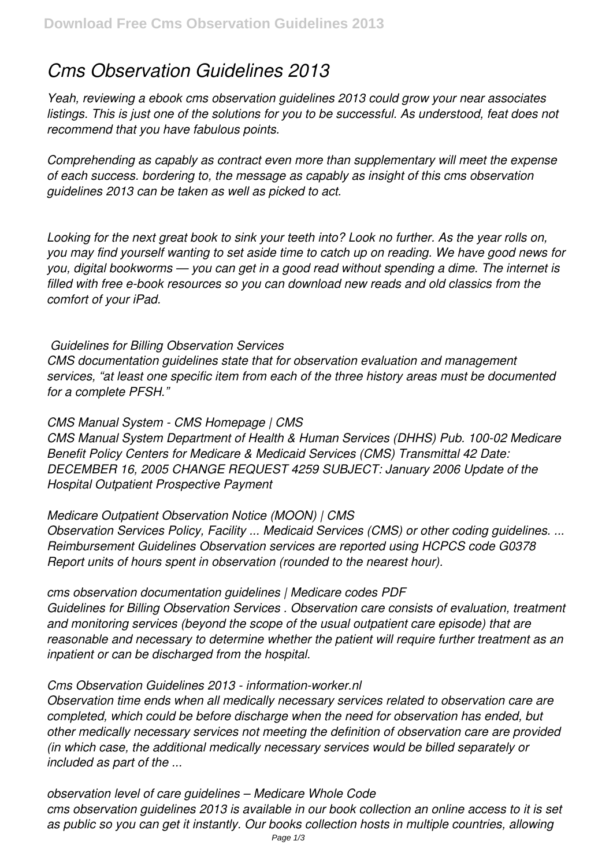# *Cms Observation Guidelines 2013*

*Yeah, reviewing a ebook cms observation guidelines 2013 could grow your near associates listings. This is just one of the solutions for you to be successful. As understood, feat does not recommend that you have fabulous points.*

*Comprehending as capably as contract even more than supplementary will meet the expense of each success. bordering to, the message as capably as insight of this cms observation guidelines 2013 can be taken as well as picked to act.*

*Looking for the next great book to sink your teeth into? Look no further. As the year rolls on, you may find yourself wanting to set aside time to catch up on reading. We have good news for you, digital bookworms — you can get in a good read without spending a dime. The internet is filled with free e-book resources so you can download new reads and old classics from the comfort of your iPad.*

## *Guidelines for Billing Observation Services*

*CMS documentation guidelines state that for observation evaluation and management services, "at least one specific item from each of the three history areas must be documented for a complete PFSH."*

## *CMS Manual System - CMS Homepage | CMS*

*CMS Manual System Department of Health & Human Services (DHHS) Pub. 100-02 Medicare Benefit Policy Centers for Medicare & Medicaid Services (CMS) Transmittal 42 Date: DECEMBER 16, 2005 CHANGE REQUEST 4259 SUBJECT: January 2006 Update of the Hospital Outpatient Prospective Payment*

### *Medicare Outpatient Observation Notice (MOON) | CMS*

*Observation Services Policy, Facility ... Medicaid Services (CMS) or other coding guidelines. ... Reimbursement Guidelines Observation services are reported using HCPCS code G0378 Report units of hours spent in observation (rounded to the nearest hour).*

*cms observation documentation guidelines | Medicare codes PDF Guidelines for Billing Observation Services . Observation care consists of evaluation, treatment and monitoring services (beyond the scope of the usual outpatient care episode) that are reasonable and necessary to determine whether the patient will require further treatment as an inpatient or can be discharged from the hospital.*

## *Cms Observation Guidelines 2013 - information-worker.nl*

*Observation time ends when all medically necessary services related to observation care are completed, which could be before discharge when the need for observation has ended, but other medically necessary services not meeting the definition of observation care are provided (in which case, the additional medically necessary services would be billed separately or included as part of the ...*

*observation level of care guidelines – Medicare Whole Code cms observation guidelines 2013 is available in our book collection an online access to it is set as public so you can get it instantly. Our books collection hosts in multiple countries, allowing*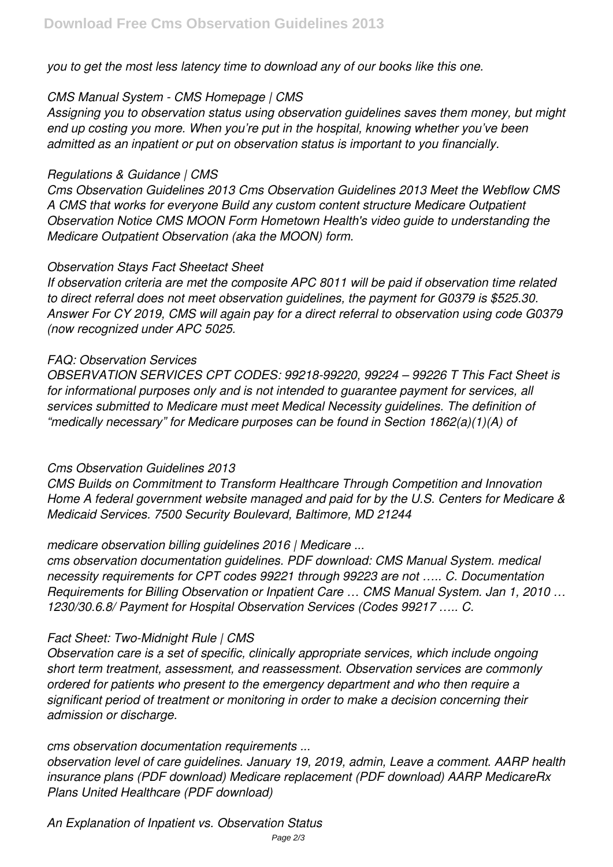*you to get the most less latency time to download any of our books like this one.*

## *CMS Manual System - CMS Homepage | CMS*

*Assigning you to observation status using observation guidelines saves them money, but might end up costing you more. When you're put in the hospital, knowing whether you've been admitted as an inpatient or put on observation status is important to you financially.*

# *Regulations & Guidance | CMS*

*Cms Observation Guidelines 2013 Cms Observation Guidelines 2013 Meet the Webflow CMS A CMS that works for everyone Build any custom content structure Medicare Outpatient Observation Notice CMS MOON Form Hometown Health's video guide to understanding the Medicare Outpatient Observation (aka the MOON) form.*

# *Observation Stays Fact Sheetact Sheet*

*If observation criteria are met the composite APC 8011 will be paid if observation time related to direct referral does not meet observation guidelines, the payment for G0379 is \$525.30. Answer For CY 2019, CMS will again pay for a direct referral to observation using code G0379 (now recognized under APC 5025.*

# *FAQ: Observation Services*

*OBSERVATION SERVICES CPT CODES: 99218-99220, 99224 – 99226 T This Fact Sheet is for informational purposes only and is not intended to guarantee payment for services, all services submitted to Medicare must meet Medical Necessity guidelines. The definition of "medically necessary" for Medicare purposes can be found in Section 1862(a)(1)(A) of*

# *Cms Observation Guidelines 2013*

*CMS Builds on Commitment to Transform Healthcare Through Competition and Innovation Home A federal government website managed and paid for by the U.S. Centers for Medicare & Medicaid Services. 7500 Security Boulevard, Baltimore, MD 21244*

# *medicare observation billing guidelines 2016 | Medicare ...*

*cms observation documentation guidelines. PDF download: CMS Manual System. medical necessity requirements for CPT codes 99221 through 99223 are not ….. C. Documentation Requirements for Billing Observation or Inpatient Care … CMS Manual System. Jan 1, 2010 … 1230/30.6.8/ Payment for Hospital Observation Services (Codes 99217 ….. C.*

# *Fact Sheet: Two-Midnight Rule | CMS*

*Observation care is a set of specific, clinically appropriate services, which include ongoing short term treatment, assessment, and reassessment. Observation services are commonly ordered for patients who present to the emergency department and who then require a significant period of treatment or monitoring in order to make a decision concerning their admission or discharge.*

## *cms observation documentation requirements ...*

*observation level of care guidelines. January 19, 2019, admin, Leave a comment. AARP health insurance plans (PDF download) Medicare replacement (PDF download) AARP MedicareRx Plans United Healthcare (PDF download)*